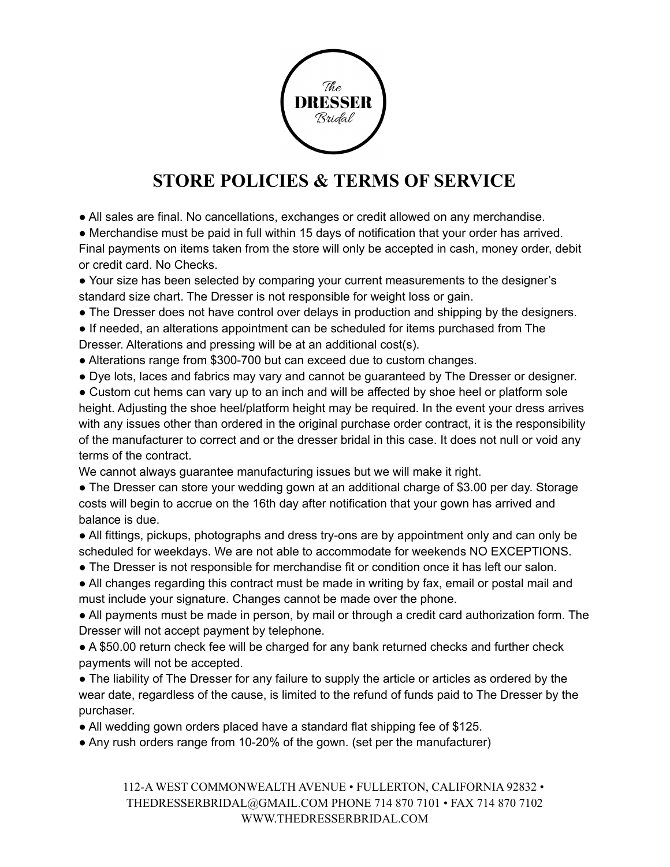

## **STORE POLICIES & TERMS OF SERVICE**

• All sales are final. No cancellations, exchanges or credit allowed on any merchandise.

● Merchandise must be paid in full within 15 days of notification that your order has arrived. Final payments on items taken from the store will only be accepted in cash, money order, debit or credit card. No Checks.

- Your size has been selected by comparing your current measurements to the designer's standard size chart. The Dresser is not responsible for weight loss or gain.
- The Dresser does not have control over delays in production and shipping by the designers.

● If needed, an alterations appointment can be scheduled for items purchased from The Dresser. Alterations and pressing will be at an additional cost(s).

- Alterations range from \$300-700 but can exceed due to custom changes.
- Dye lots, laces and fabrics may vary and cannot be guaranteed by The Dresser or designer.
- Custom cut hems can vary up to an inch and will be affected by shoe heel or platform sole height. Adjusting the shoe heel/platform height may be required. In the event your dress arrives with any issues other than ordered in the original purchase order contract, it is the responsibility of the manufacturer to correct and or the dresser bridal in this case. It does not null or void any terms of the contract.

We cannot always guarantee manufacturing issues but we will make it right.

• The Dresser can store your wedding gown at an additional charge of \$3.00 per day. Storage costs will begin to accrue on the 16th day after notification that your gown has arrived and balance is due.

• All fittings, pickups, photographs and dress try-ons are by appointment only and can only be scheduled for weekdays. We are not able to accommodate for weekends NO EXCEPTIONS.

- The Dresser is not responsible for merchandise fit or condition once it has left our salon.
- All changes regarding this contract must be made in writing by fax, email or postal mail and must include your signature. Changes cannot be made over the phone.

● All payments must be made in person, by mail or through a credit card authorization form. The Dresser will not accept payment by telephone.

● A \$50.00 return check fee will be charged for any bank returned checks and further check payments will not be accepted.

● The liability of The Dresser for any failure to supply the article or articles as ordered by the wear date, regardless of the cause, is limited to the refund of funds paid to The Dresser by the purchaser.

• All wedding gown orders placed have a standard flat shipping fee of \$125.

• Any rush orders range from 10-20% of the gown. (set per the manufacturer)

112-A WEST COMMONWEALTH AVENUE • FULLERTON, CALIFORNIA 92832 • THEDRESSERBRIDAL@GMAIL.COM PHONE 714 870 7101 • FAX 714 870 7102 WWW.THEDRESSERBRIDAL.COM